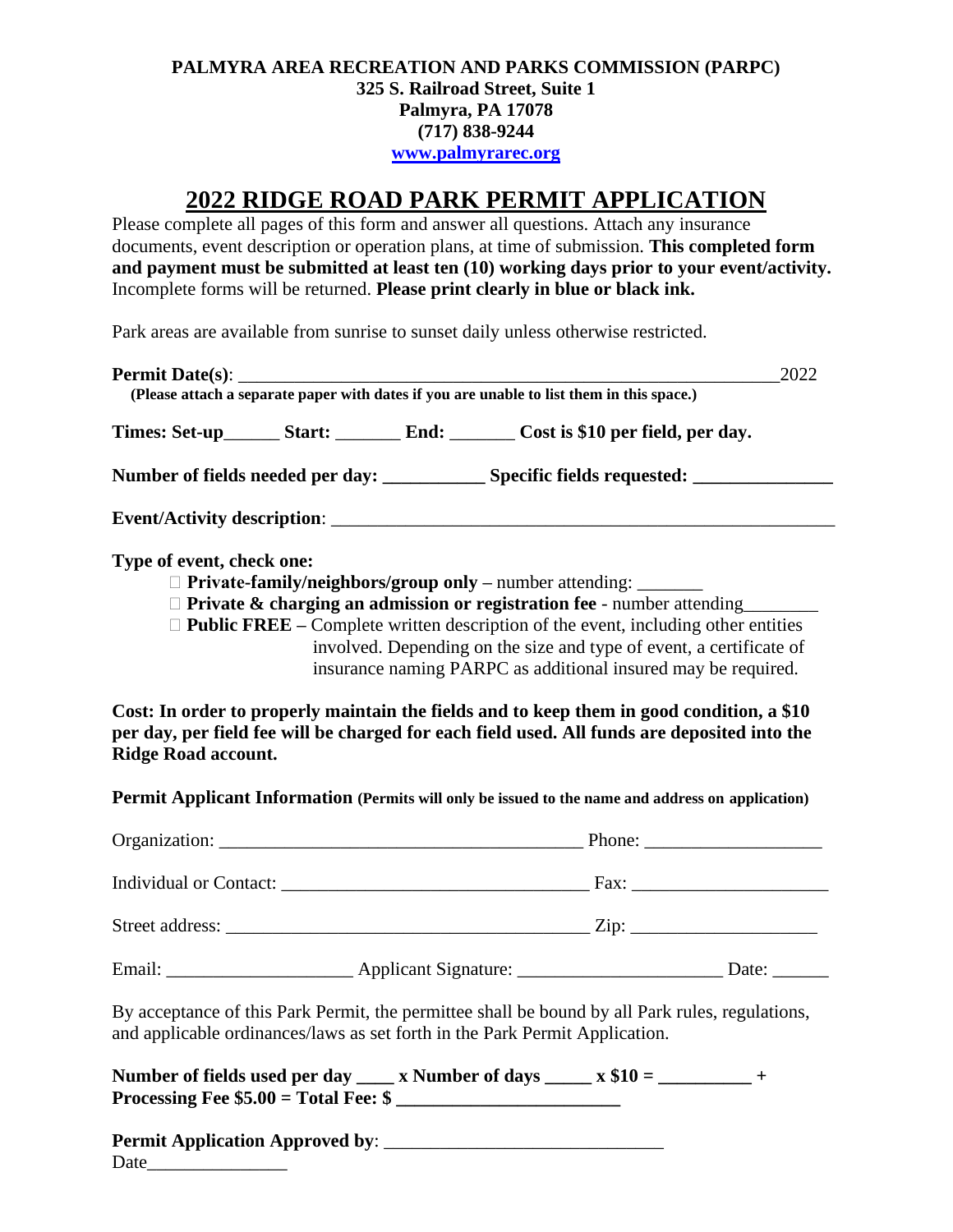#### **PALMYRA AREA RECREATION AND PARKS COMMISSION (PARPC) 325 S. Railroad Street, Suite 1 Palmyra, PA 17078 (717) 838-9244 [www.palmyrarec.org](http://www.palmyrarec.org/)**

# **2022 RIDGE ROAD PARK PERMIT APPLICATION**

Please complete all pages of this form and answer all questions. Attach any insurance documents, event description or operation plans, at time of submission. **This completed form and payment must be submitted at least ten (10) working days prior to your event/activity.** Incomplete forms will be returned. **Please print clearly in blue or black ink.**

Park areas are available from sunrise to sunset daily unless otherwise restricted.

| 2022<br>(Please attach a separate paper with dates if you are unable to list them in this space.) |  |  |                                                                                                                                                                                                                                                                                                                                                                                                     |  |
|---------------------------------------------------------------------------------------------------|--|--|-----------------------------------------------------------------------------------------------------------------------------------------------------------------------------------------------------------------------------------------------------------------------------------------------------------------------------------------------------------------------------------------------------|--|
|                                                                                                   |  |  | Times: Set-up___________ Start: ______________ End: ___________ Cost is \$10 per field, per day.                                                                                                                                                                                                                                                                                                    |  |
|                                                                                                   |  |  | Number of fields needed per day: ________________ Specific fields requested: _______________________                                                                                                                                                                                                                                                                                                |  |
|                                                                                                   |  |  |                                                                                                                                                                                                                                                                                                                                                                                                     |  |
| Type of event, check one:                                                                         |  |  | $\Box$ Private-family/neighbors/group only – number attending: ________<br>$\Box$ Private & charging an admission or registration fee - number attending<br>$\Box$ <b>Public FREE</b> – Complete written description of the event, including other entities<br>involved. Depending on the size and type of event, a certificate of<br>insurance naming PARPC as additional insured may be required. |  |
|                                                                                                   |  |  | Cost: In order to properly maintain the fields and to keep them in good condition, a \$10                                                                                                                                                                                                                                                                                                           |  |

**per day, per field fee will be charged for each field used. All funds are deposited into the Ridge Road account.** 

**Permit Applicant Information (Permits will only be issued to the name and address on application)**

|  | Phone: $\frac{1}{\sqrt{1-\frac{1}{2}} \cdot \frac{1}{2}}$ |       |
|--|-----------------------------------------------------------|-------|
|  |                                                           |       |
|  |                                                           |       |
|  |                                                           | Date: |

By acceptance of this Park Permit, the permittee shall be bound by all Park rules, regulations, and applicable ordinances/laws as set forth in the Park Permit Application.

| Number of fields used per day            | x Number of days | $\mathbf{x}$ \$10 = |  |
|------------------------------------------|------------------|---------------------|--|
| Processing Fee $$5.00 = Total Free$ : \$ |                  |                     |  |

**Permit Application Approved by**: \_\_\_\_\_\_\_\_\_\_\_\_\_\_\_\_\_\_\_\_\_\_\_\_\_\_\_\_\_\_

Date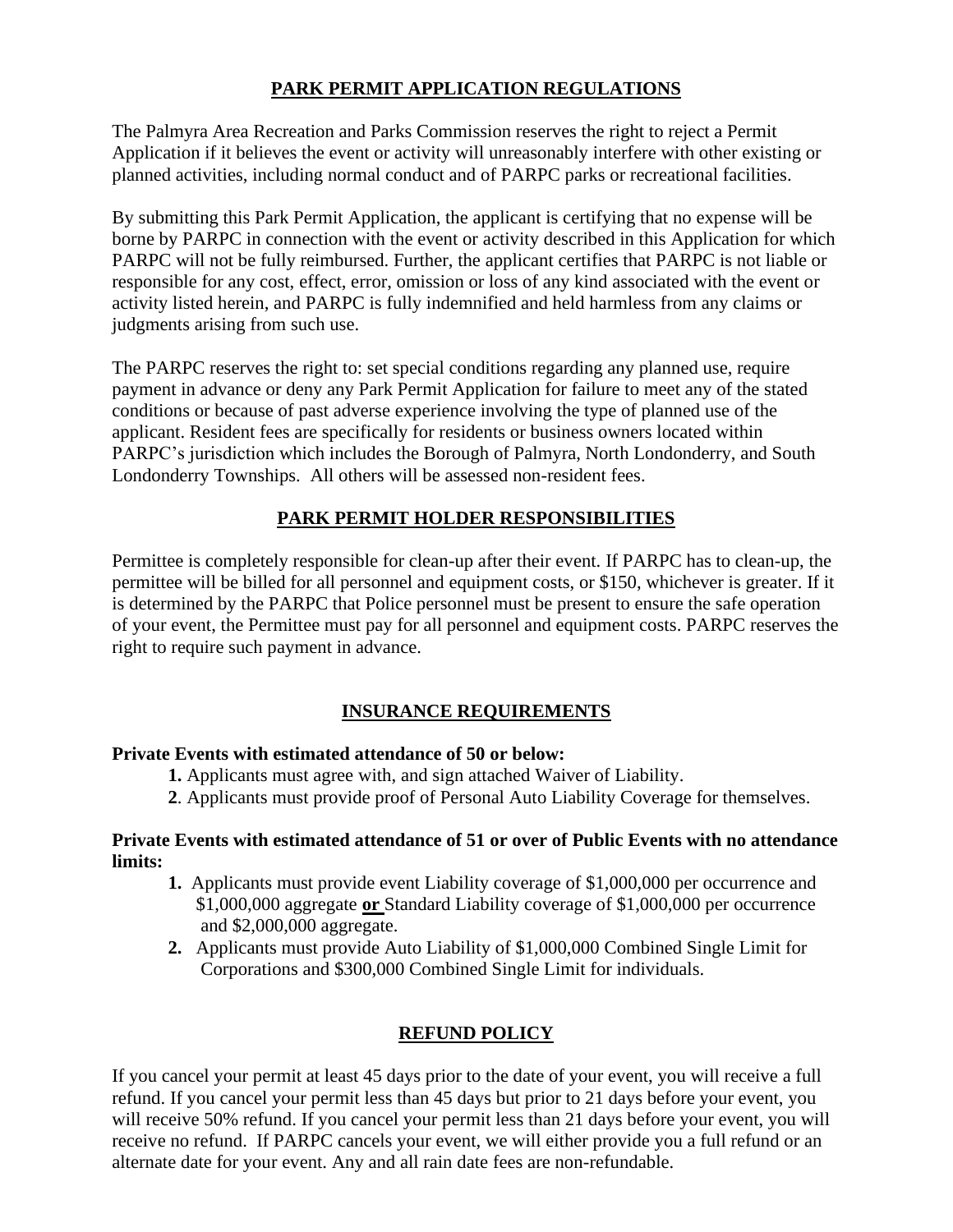### **PARK PERMIT APPLICATION REGULATIONS**

The Palmyra Area Recreation and Parks Commission reserves the right to reject a Permit Application if it believes the event or activity will unreasonably interfere with other existing or planned activities, including normal conduct and of PARPC parks or recreational facilities.

By submitting this Park Permit Application, the applicant is certifying that no expense will be borne by PARPC in connection with the event or activity described in this Application for which PARPC will not be fully reimbursed. Further, the applicant certifies that PARPC is not liable or responsible for any cost, effect, error, omission or loss of any kind associated with the event or activity listed herein, and PARPC is fully indemnified and held harmless from any claims or judgments arising from such use.

The PARPC reserves the right to: set special conditions regarding any planned use, require payment in advance or deny any Park Permit Application for failure to meet any of the stated conditions or because of past adverse experience involving the type of planned use of the applicant. Resident fees are specifically for residents or business owners located within PARPC's jurisdiction which includes the Borough of Palmyra, North Londonderry, and South Londonderry Townships. All others will be assessed non-resident fees.

## **PARK PERMIT HOLDER RESPONSIBILITIES**

Permittee is completely responsible for clean-up after their event. If PARPC has to clean-up, the permittee will be billed for all personnel and equipment costs, or \$150, whichever is greater. If it is determined by the PARPC that Police personnel must be present to ensure the safe operation of your event, the Permittee must pay for all personnel and equipment costs. PARPC reserves the right to require such payment in advance.

### **INSURANCE REQUIREMENTS**

### **Private Events with estimated attendance of 50 or below:**

- **1.** Applicants must agree with, and sign attached Waiver of Liability.
- **2**. Applicants must provide proof of Personal Auto Liability Coverage for themselves.

### **Private Events with estimated attendance of 51 or over of Public Events with no attendance limits:**

- **1.** Applicants must provide event Liability coverage of \$1,000,000 per occurrence and \$1,000,000 aggregate **or** Standard Liability coverage of \$1,000,000 per occurrence and \$2,000,000 aggregate.
- **2.** Applicants must provide Auto Liability of \$1,000,000 Combined Single Limit for Corporations and \$300,000 Combined Single Limit for individuals.

# **REFUND POLICY**

If you cancel your permit at least 45 days prior to the date of your event, you will receive a full refund. If you cancel your permit less than 45 days but prior to 21 days before your event, you will receive 50% refund. If you cancel your permit less than 21 days before your event, you will receive no refund. If PARPC cancels your event, we will either provide you a full refund or an alternate date for your event. Any and all rain date fees are non-refundable.